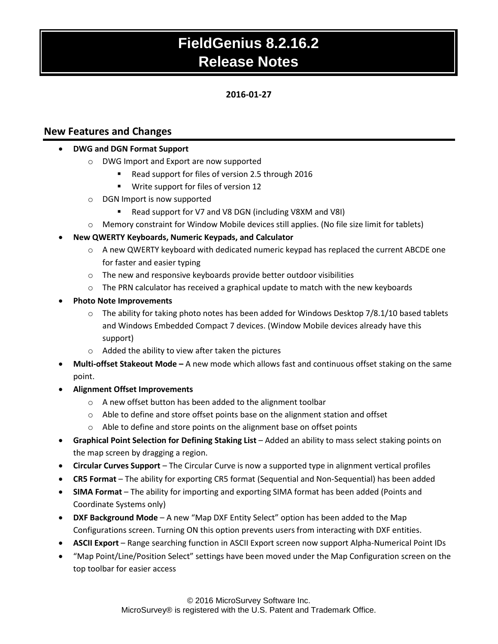### **2016-01-27**

## **New Features and Changes**

### **DWG and DGN Format Support**

- o DWG Import and Export are now supported
	- Read support for files of version 2.5 through 2016
	- **Write support for files of version 12**
- o DGN Import is now supported
	- Read support for V7 and V8 DGN (including V8XM and V8I)
- o Memory constraint for Window Mobile devices still applies. (No file size limit for tablets)

### **New QWERTY Keyboards, Numeric Keypads, and Calculator**

- o A new QWERTY keyboard with dedicated numeric keypad has replaced the current ABCDE one for faster and easier typing
- o The new and responsive keyboards provide better outdoor visibilities
- $\circ$  The PRN calculator has received a graphical update to match with the new keyboards
- **Photo Note Improvements**
	- $\circ$  The ability for taking photo notes has been added for Windows Desktop 7/8.1/10 based tablets and Windows Embedded Compact 7 devices. (Window Mobile devices already have this support)
	- o Added the ability to view after taken the pictures
- **Multi-offset Stakeout Mode –** A new mode which allows fast and continuous offset staking on the same point.
- **Alignment Offset Improvements**
	- o A new offset button has been added to the alignment toolbar
	- $\circ$  Able to define and store offset points base on the alignment station and offset
	- o Able to define and store points on the alignment base on offset points
- **Graphical Point Selection for Defining Staking List** Added an ability to mass select staking points on the map screen by dragging a region.
- **Circular Curves Support**  The Circular Curve is now a supported type in alignment vertical profiles
- **CR5 Format** The ability for exporting CR5 format (Sequential and Non-Sequential) has been added
- **SIMA Format** The ability for importing and exporting SIMA format has been added (Points and Coordinate Systems only)
- **DXF Background Mode** A new "Map DXF Entity Select" option has been added to the Map Configurations screen. Turning ON this option prevents users from interacting with DXF entities.
- **ASCII Export**  Range searching function in ASCII Export screen now support Alpha-Numerical Point IDs
- "Map Point/Line/Position Select" settings have been moved under the Map Configuration screen on the top toolbar for easier access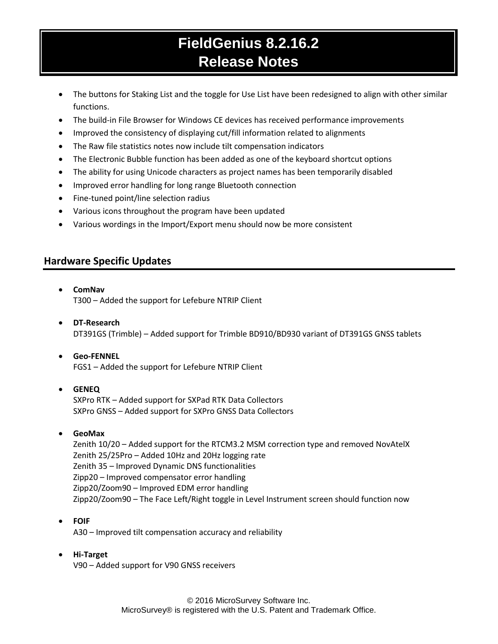- The buttons for Staking List and the toggle for Use List have been redesigned to align with other similar functions.
- The build-in File Browser for Windows CE devices has received performance improvements
- Improved the consistency of displaying cut/fill information related to alignments
- The Raw file statistics notes now include tilt compensation indicators
- The Electronic Bubble function has been added as one of the keyboard shortcut options
- The ability for using Unicode characters as project names has been temporarily disabled
- Improved error handling for long range Bluetooth connection
- Fine-tuned point/line selection radius
- Various icons throughout the program have been updated
- Various wordings in the Import/Export menu should now be more consistent

### **Hardware Specific Updates**

**ComNav**

T300 – Added the support for Lefebure NTRIP Client

- **DT-Research** DT391GS (Trimble) – Added support for Trimble BD910/BD930 variant of DT391GS GNSS tablets
- **Geo-FENNEL** FGS1 – Added the support for Lefebure NTRIP Client

#### **GENEQ**

SXPro RTK – Added support for SXPad RTK Data Collectors SXPro GNSS – Added support for SXPro GNSS Data Collectors

#### **GeoMax**

Zenith 10/20 – Added support for the RTCM3.2 MSM correction type and removed NovAtelX Zenith 25/25Pro – Added 10Hz and 20Hz logging rate Zenith 35 – Improved Dynamic DNS functionalities Zipp20 – Improved compensator error handling Zipp20/Zoom90 – Improved EDM error handling Zipp20/Zoom90 – The Face Left/Right toggle in Level Instrument screen should function now

**FOIF**

A30 – Improved tilt compensation accuracy and reliability

#### **Hi-Target**

V90 – Added support for V90 GNSS receivers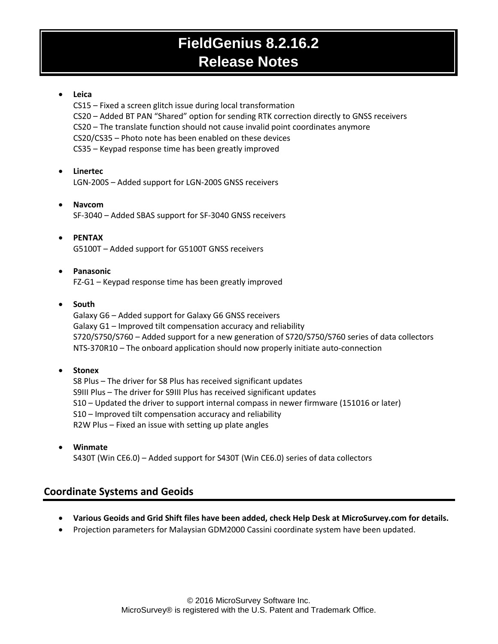### **Leica**

CS15 – Fixed a screen glitch issue during local transformation CS20 – Added BT PAN "Shared" option for sending RTK correction directly to GNSS receivers CS20 – The translate function should not cause invalid point coordinates anymore CS20/CS35 – Photo note has been enabled on these devices CS35 – Keypad response time has been greatly improved

#### **Linertec** LGN-200S – Added support for LGN-200S GNSS receivers

 **Navcom** SF-3040 – Added SBAS support for SF-3040 GNSS receivers

 **PENTAX** G5100T – Added support for G5100T GNSS receivers

### **Panasonic**

FZ-G1 – Keypad response time has been greatly improved

### **South**

Galaxy G6 – Added support for Galaxy G6 GNSS receivers Galaxy G1 – Improved tilt compensation accuracy and reliability S720/S750/S760 – Added support for a new generation of S720/S750/S760 series of data collectors NTS-370R10 – The onboard application should now properly initiate auto-connection

### **Stonex**

S8 Plus – The driver for S8 Plus has received significant updates S9III Plus – The driver for S9III Plus has received significant updates S10 – Updated the driver to support internal compass in newer firmware (151016 or later) S10 – Improved tilt compensation accuracy and reliability R2W Plus – Fixed an issue with setting up plate angles

 **Winmate** S430T (Win CE6.0) – Added support for S430T (Win CE6.0) series of data collectors

## **Coordinate Systems and Geoids**

- **Various Geoids and Grid Shift files have been added, check Help Desk at MicroSurvey.com for details.**
- Projection parameters for Malaysian GDM2000 Cassini coordinate system have been updated.